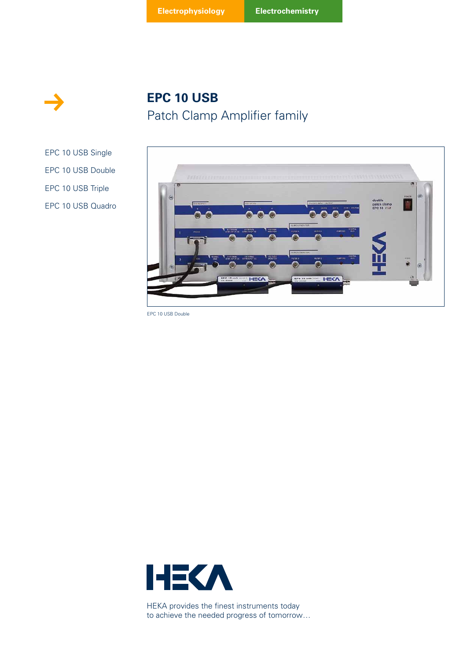

EPC 10 USB Single

EPC 10 USB Double

EPC 10 USB Triple

EPC 10 USB Quadro

# **EPC 10 USB**  Patch Clamp Amplifier family



EPC 10 USB Double



HEKA provides the finest instruments today to achieve the needed progress of tomorrow…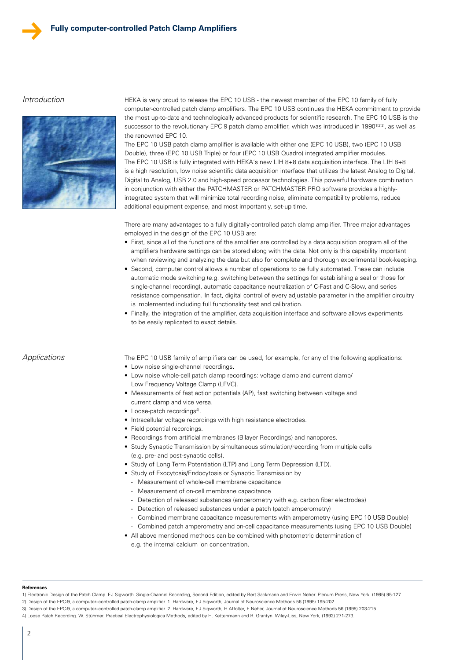

*Introduction* HEKA is very proud to release the EPC 10 USB - the newest member of the EPC 10 family of fully computer-controlled patch clamp amplifiers. The EPC 10 USB continues the HEKA commitment to provide the most up-to-date and technologically advanced products for scientific research. The EPC 10 USB is the successor to the revolutionary EPC 9 patch clamp amplifier, which was introduced in 1990<sup>1)2131</sup>, as well as the renowned EPC 10.

> The EPC 10 USB patch clamp amplifier is available with either one (EPC 10 USB), two (EPC 10 USB Double), three (EPC 10 USB Triple) or four (EPC 10 USB Quadro) integrated amplifier modules. The EPC 10 USB is fully integrated with HEKA´s new LIH 8+8 data acquisition interface. The LIH 8+8 is a high resolution, low noise scientific data acquisition interface that utilizes the latest Analog to Digital, Digital to Analog, USB 2.0 and high-speed processor technologies. This powerful hardware combination in conjunction with either the PATCHMASTER or PATCHMASTER PRO software provides a highlyintegrated system that will minimize total recording noise, eliminate compatibility problems, reduce additional equipment expense, and most importantly, set-up time.

There are many advantages to a fully digitally-controlled patch clamp amplifier. Three major advantages employed in the design of the EPC 10 USB are:

- First, since all of the functions of the amplifier are controlled by a data acquisition program all of the amplifiers hardware settings can be stored along with the data. Not only is this capability important when reviewing and analyzing the data but also for complete and thorough experimental book-keeping.
- Second, computer control allows a number of operations to be fully automated. These can include automatic mode switching (e.g. switching between the settings for establishing a seal or those for single-channel recording), automatic capacitance neutralization of C-Fast and C-Slow, and series resistance compensation. In fact, digital control of every adjustable parameter in the amplifier circuitry is implemented including full functionality test and calibration.
- • Finally, the integration of the amplifier, data acquisition interface and software allows experiments to be easily replicated to exact details.

*Applications* The EPC 10 USB family of amplifiers can be used, for example, for any of the following applications:

- Low noise single-channel recordings.
- Low noise whole-cell patch clamp recordings: voltage clamp and current clamp/ Low Frequency Voltage Clamp (LFVC).
- Measurements of fast action potentials (AP), fast switching between voltage and current clamp and vice versa.
- Loose-patch recordings<sup>4)</sup>.
- Intracellular voltage recordings with high resistance electrodes.
- Field potential recordings.
- Recordings from artificial membranes (Bilayer Recordings) and nanopores.
- Study Synaptic Transmission by simultaneous stimulation/recording from multiple cells (e.g. pre- and post-synaptic cells).
- Study of Long Term Potentiation (LTP) and Long Term Depression (LTD).
- Study of Exocytosis/Endocytosis or Synaptic Transmission by
	- Measurement of whole-cell membrane capacitance
	- Measurement of on-cell membrane capacitance
	- Detection of released substances (amperometry with e.g. carbon fiber electrodes)
	- Detection of released substances under a patch (patch amperometry)
	- Combined membrane capacitance measurements with amperometry (using EPC 10 USB Double)
	- Combined patch amperometry and on-cell capacitance measurements (using EPC 10 USB Double)
- All above mentioned methods can be combined with photometric determination of e.g. the internal calcium ion concentration.

#### **References**

- 3) Design of the EPC-9, a computer–controlled patch-clamp amplifier. 2. Hardware, F.J.Sigworth, H.Affolter, E.Neher, Journal of Neuroscience Methods 56 (1995) 203-215.
- 4) Loose Patch Recording. W. Stühmer. Practical Electrophysiologica Methods, edited by H. Kettenmann and R. Grantyn. Wiley-Liss, New York, (1992) 271-273.

<sup>1)</sup> Electronic Design of the Patch Clamp. F.J.Sigworth. Single-Channel Recording, Second Edition, edited by Bert Sackmann and Erwin Neher. Plenum Press, New York, (1995) 95-127.

<sup>2)</sup> Design of the EPC-9, a computer–controlled patch-clamp amplifier. 1. Hardware, F.J.Sigworth, Journal of Neuroscience Methods 56 (1995) 195-202.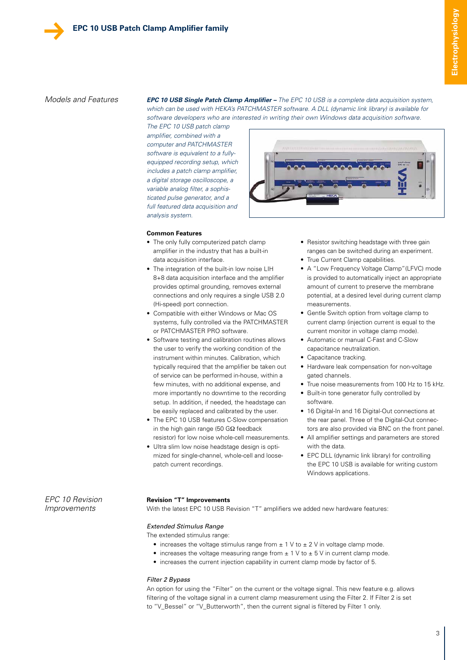*Models and Features EPC 10 USB Single Patch Clamp Amplifier – The EPC 10 USB is a complete data acquisition system, which can be used with HEKA's PATCHMASTER software. A DLL (dynamic link library) is available for software developers who are interested in writing their own Windows data acquisition software.* 

> *The EPC 10 USB patch clamp amplifier, combined with a computer and PATCHMASTER software is equivalent to a fullyequipped recording setup, which includes a patch clamp amplifier, a digital storage oscilloscope, a variable analog filter, a sophisticated pulse generator, and a full featured data acquisition and analysis system.*



- **Common Features**
- The only fully computerized patch clamp amplifier in the industry that has a built-in data acquisition interface.
- The integration of the built-in low noise LIH 8+8 data acquisition interface and the amplifier provides optimal grounding, removes external connections and only requires a single USB 2.0 (Hi-speed) port connection.
- Compatible with either Windows or Mac OS systems, fully controlled via the PATCHMASTER or PATCHMASTER PRO software.
- Software testing and calibration routines allows the user to verify the working condition of the instrument within minutes. Calibration, which typically required that the amplifier be taken out of service can be performed in-house, within a few minutes, with no additional expense, and more importantly no downtime to the recording setup. In addition, if needed, the headstage can be easily replaced and calibrated by the user.
- The EPC 10 USB features C-Slow compensation in the high gain range (50 GΩ feedback resistor) for low noise whole-cell measurements.
- Ultra slim low noise headstage design is optimized for single-channel, whole-cell and loosepatch current recordings.
- Resistor switching headstage with three gain ranges can be switched during an experiment.
- True Current Clamp capabilities.
- A "Low Frequency Voltage Clamp" (LFVC) mode is provided to automatically inject an appropriate amount of current to preserve the membrane potential, at a desired level during current clamp measurements.
- • Gentle Switch option from voltage clamp to current clamp (injection current is equal to the current monitor in voltage clamp mode).
- • Automatic or manual C-Fast and C-Slow capacitance neutralization.
- Capacitance tracking.
- Hardware leak compensation for non-voltage gated channels.
- True noise measurements from 100 Hz to 15 kHz.
- Built-in tone generator fully controlled by software.
- 16 Digital-In and 16 Digital-Out connections at the rear panel. Three of the Digital-Out connectors are also provided via BNC on the front panel.
- All amplifier settings and parameters are stored with the data.
- EPC DLL (dynamic link library) for controlling the EPC 10 USB is available for writing custom Windows applications.

*EPC 10 Revision Improvements*

#### **Revision "T" Improvements**

With the latest EPC 10 USB Revision "T" amplifiers we added new hardware features:

*Extended Stimulus Range*

The extended stimulus range:

- increases the voltage stimulus range from  $\pm$  1 V to  $\pm$  2 V in voltage clamp mode.
- increases the voltage measuring range from  $\pm 1$  V to  $\pm 5$  V in current clamp mode.
- increases the current injection capability in current clamp mode by factor of 5.

#### *Filter 2 Bypass*

An option for using the "Filter" on the current or the voltage signal. This new feature e.g. allows filtering of the voltage signal in a current clamp measurement using the Filter 2. If Filter 2 is set to "V\_Bessel" or "V\_Butterworth", then the current signal is filtered by Filter 1 only.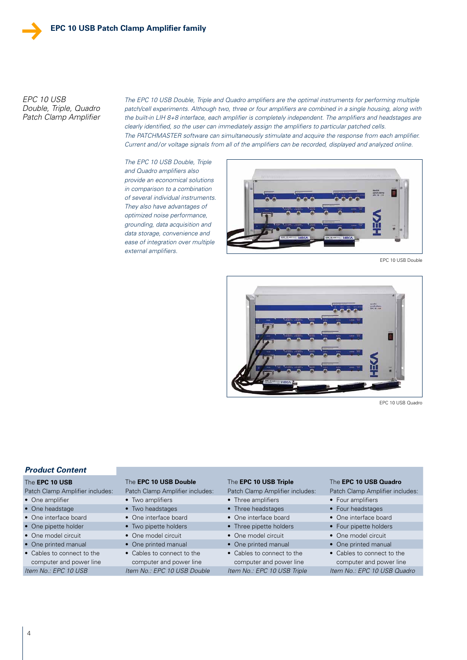*EPC 10 USB Double, Triple, Quadro Patch Clamp Amplifier*

*The EPC 10 USB Double, Triple and Quadro amplifiers are the optimal instruments for performing multiple patch/cell experiments. Although two, three or four amplifiers are combined in a single housing, along with the built-in LIH 8+8 interface, each amplifier is completely independent. The amplifiers and headstages are clearly identified, so the user can immediately assign the amplifiers to particular patched cells. The PATCHMASTER software can simultaneously stimulate and acquire the response from each amplifier. Current and/or voltage signals from all of the amplifiers can be recorded, displayed and analyzed online.* 

*The EPC 10 USB Double, Triple and Quadro amplifiers also provide an economical solutions in comparison to a combination of several individual instruments. They also have advantages of optimized noise performance, grounding, data acquisition and data storage, convenience and ease of integration over multiple external amplifiers.*



EPC 10 USB Double



EPC 10 USB Quadro

# *Product Content*

#### The **EPC 10 USB**

- Patch Clamp Amplifier includes:
- One amplifier
- One headstage
- One interface board
- One pipette holder
- One model circuit
- One printed manual

Cables to connect to the computer and power line

*Item No.: EPC 10 USB*

#### Patch Clamp Amplifier includes: • Two amplifiers

The **EPC 10 USB Double**

• Two headstages • One interface board • Two pipette holders • One model circuit • One printed manual • Cables to connect to the computer and power line *Item No.: EPC 10 USB Double*

#### The **EPC 10 USB Triple**

Patch Clamp Amplifier includes:

- Three amplifiers
- 
- Three headstages
- One interface board
- Three pipette holders
- One model circuit
- One printed manual
- • Cables to connect to the computer and power line *Item No.: EPC 10 USB Triple*

#### The **EPC 10 USB Quadro**

Patch Clamp Amplifier includes:

- Four amplifiers
- Four headstages
- One interface board
- Four pipette holders
- One model circuit
- One printed manual
- • Cables to connect to the computer and power line
- *Item No.: EPC 10 USB Quadro*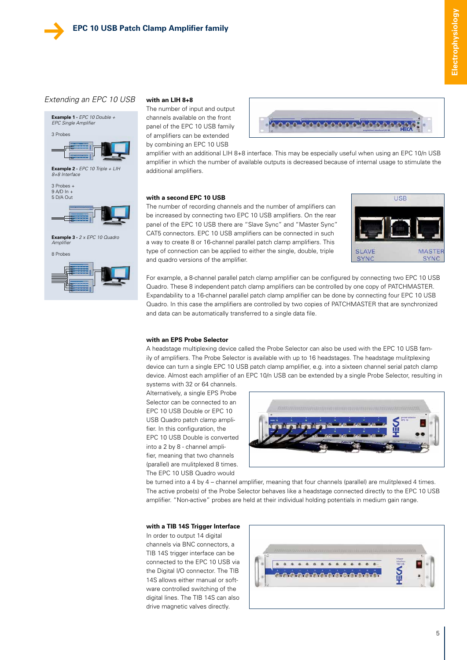# *Extending an EPC 10 USB* **with an LIH 8+8**

**Example 3 -** *2 x EPC 10 Quadro* 

**Example 2 -** *EPC 10 Triple + LIH* 

**Example 1 -** *EPC 10 Double + EPC Single Amplifie* 

*Amplifier* 8 Probes

*8+8 Interface* 3 Probes + 9 A/D In +  $5 \overline{\mathrm{D}}/\Delta$  Out

3 Probes

The number of input and output channels available on the front panel of the EPC 10 USB family of amplifiers can be extended by combining an EPC 10 USB



amplifier with an additional LIH 8+8 interface. This may be especially useful when using an EPC 10/n USB amplifier in which the number of available outputs is decreased because of internal usage to stimulate the additional amplifiers.

#### **with a second EPC 10 USB**

The number of recording channels and the number of amplifiers can be increased by connecting two EPC 10 USB amplifiers. On the rear panel of the EPC 10 USB there are "Slave Sync" and "Master Sync" CAT5 connectors. EPC 10 USB amplifiers can be connected in such a way to create 8 or 16-channel parallel patch clamp amplifiers. This type of connection can be applied to either the single, double, triple and quadro versions of the amplifier.



For example, a 8-channel parallel patch clamp amplifier can be configured by connecting two EPC 10 USB Quadro. These 8 independent patch clamp amplifiers can be controlled by one copy of PATCHMASTER. Expandability to a 16-channel parallel patch clamp amplifier can be done by connecting four EPC 10 USB Quadro. In this case the amplifiers are controlled by two copies of PATCHMASTER that are synchronized and data can be automatically transferred to a single data file.

#### **with an EPS Probe Selector**

A headstage multiplexing device called the Probe Selector can also be used with the EPC 10 USB family of amplifiers. The Probe Selector is available with up to 16 headstages. The headstage mulitplexing device can turn a single EPC 10 USB patch clamp amplifier, e.g. into a sixteen channel serial patch clamp device. Almost each amplifier of an EPC 10/n USB can be extended by a single Probe Selector, resulting in

systems with 32 or 64 channels. Alternatively, a single EPS Probe Selector can be connected to an EPC 10 USB Double or EPC 10 USB Quadro patch clamp amplifier. In this configuration, the EPC 10 USB Double is converted into a 2 by 8 - channel amplifier, meaning that two channels (parallel) are mulitplexed 8 times. The EPC 10 USB Quadro would



be turned into a 4 by 4 – channel amplifier, meaning that four channels (parallel) are mulitplexed 4 times. The active probe(s) of the Probe Selector behaves like a headstage connected directly to the EPC 10 USB amplifier. "Non-active" probes are held at their individual holding potentials in medium gain range.

### **with a TIB 14S Trigger Interface**

In order to output 14 digital channels via BNC connectors, a TIB 14S trigger interface can be connected to the EPC 10 USB via the Digital I/O connector. The TIB 14S allows either manual or software controlled switching of the digital lines. The TIB 14S can also drive magnetic valves directly.

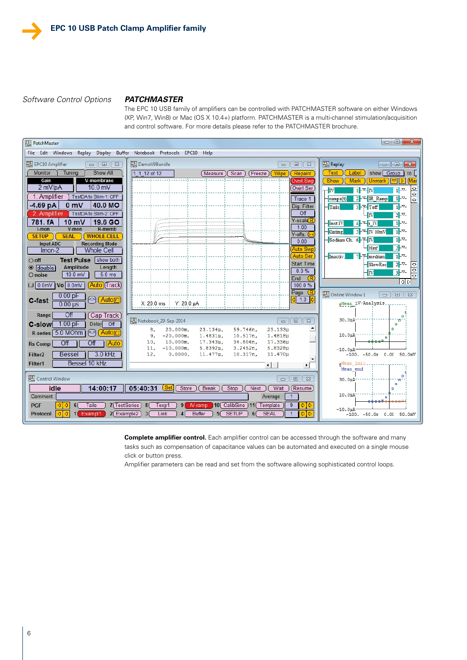# *Software Control Options*

# *PATCHMASTER*

The EPC 10 USB family of amplifiers can be controlled with PATCHMASTER software on either Windows (XP, Win7, Win8) or Mac (OS X 10.4+) platform. PATCHMASTER is a multi-channel stimulation/acquisition and control software. For more details please refer to the PATCHMASTER brochure.



**Complete amplifier control.** Each amplifier control can be accessed through the software and many tasks such as compensation of capacitance values can be automated and executed on a single mouse click or button press.

Amplifier parameters can be read and set from the software allowing sophisticated control loops.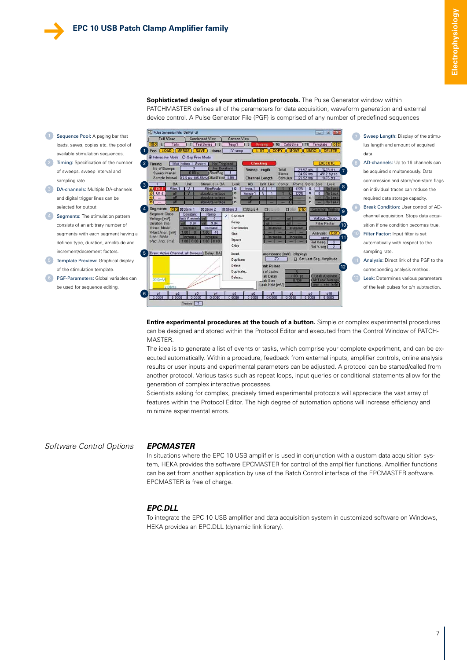**Sophisticated design of your stimulation protocols.** The Pulse Generator window within PATCHMASTER defines all of the parameters for data acquisition, waveform generation and external device control. A Pulse Generator File (PGF) is comprised of any number of predefined sequences

- 1 Sequence Pool: A paging bar that loads, saves, copies etc. the pool of available stimulation sequences.
- Timing: Specification of the number of sweeps, sweep interval and sampling rate.
- 3 DA-channels: Multiple DA-channels and digital trigger lines can be selected for output.
- 4 Segments: The stimulation pattern consists of an arbitrary number of segments with each segment having a defined type, duration, amplitude and increment/decrement factors.
- Template Preview: Graphical display of the stimulation template. PGF-Parameters: Global variables can
- be used for sequence editing.

| $\frac{8}{3}$<br>10 CalibSine<br>11(Template<br><b>old</b><br>61<br><b>Tails</b><br>7 (TestSeries<br>9<br>Texp1<br>IV-ramp<br><b>COPY If MOVE</b><br>Pool (LOAD) (MERGE)<br><b>SAVE</b><br>LIST<br><b>IC UNDO</b><br>Name<br>IV-ramp<br>C Interactive Mode C Gap Free Mode<br>Checking<br>Wait before 1. Sweep<br>Not Triggered<br><b>Uge Durations</b><br>No of Sweeps<br>Sweep Length<br>29.52 ms<br>Total<br>0.00 <sub>b</sub><br><b>StartSeg</b><br>Sweep Interval<br>24.56 ms<br>Stored<br>20.0 us (50.0kHz<br>StartTime 4.96<br>Sample Interval<br>29.52 ms<br><b>Channel Length</b><br>Stimulus<br>Points Store Zero<br>DA<br>Stimulus > DA<br>AD<br>Unit Link<br>Unit<br>Lonk<br>Compr<br>$\mathbf v$<br><b>StimScale</b><br>G<br>e<br>Ch.1<br>Stirn-1<br>1228<br>Imon-1<br>l A<br>Ch <sub>2</sub><br>v<br>o<br>$\alpha$<br>off<br>absolute voltage<br>v<br>1228<br>Vmon-1<br>o<br>0<br>off<br>absolute voltage<br>O<br>n.<br>o<br>off<br>absolute voltage<br>of<br>$\Box$<br>$\bullet$<br>o<br>$\overline{a}$<br><b>Segments</b><br>of of <b>23</b> Store 1<br>因Store 2<br>因Store 3<br>□Store 4<br><b>D</b> Store 5<br>$\Box$ Stor<br> 0 0<br>Constant<br>Ramp<br>J<br>Constant<br>val<br>hold V-memb<br>ml<br>n<br>Ramp<br>9.84<br><b>Ico</b><br>9.84<br>Continuout<br>Increase<br><b>JOCERSER</b><br><b>Іпстижки</b><br><b>Increase</b><br>1001<br>40<br>1.00<br>n<br>Sine<br>Increase<br>Increase<br>Increase<br>ncrease<br>ramo<br>Square<br>00 0 00<br>00 0 00<br>Rel X-sea<br>Chirp<br>Rel Y-seg<br>Insert<br>membrane [mV]<br>(display)<br>$-70$<br>Duplicate<br>Delete<br>iak Pulses<br>Duplicate<br>a of Leaks<br>Đ<br>$-100.$ $\mu$ s<br>iak Delay<br>Delete<br>20.0 <sub>m</sub> V<br>Jak Size<br>0 100<br>Leak Hold [mV]<br>2.00ms | DELETE<br><b>EXECUTE</b><br>1476 pts<br>4912 bytes<br>1476 pts<br>Look<br>No Leak<br>No Leak<br>No Leak<br>No Leak<br>Common Timing<br><b>Voltage Clamp</b><br><b>Filter Factor</b><br>Analysis: <b>CEdit</b><br>$\overline{2}$<br>$\overline{2}$<br>Set Last Seq. Amplitude<br>Leak Alternate | <b>Full View</b> | <b>Condensed View</b> | Cartoon View |                            |
|---------------------------------------------------------------------------------------------------------------------------------------------------------------------------------------------------------------------------------------------------------------------------------------------------------------------------------------------------------------------------------------------------------------------------------------------------------------------------------------------------------------------------------------------------------------------------------------------------------------------------------------------------------------------------------------------------------------------------------------------------------------------------------------------------------------------------------------------------------------------------------------------------------------------------------------------------------------------------------------------------------------------------------------------------------------------------------------------------------------------------------------------------------------------------------------------------------------------------------------------------------------------------------------------------------------------------------------------------------------------------------------------------------------------------------------------------------------------------------------------------------------------------------------------------------------------------------------------------------------------------------------------------------------------------------------------------------------------------------------------------------|------------------------------------------------------------------------------------------------------------------------------------------------------------------------------------------------------------------------------------------------------------------------------------------------|------------------|-----------------------|--------------|----------------------------|
|                                                                                                                                                                                                                                                                                                                                                                                                                                                                                                                                                                                                                                                                                                                                                                                                                                                                                                                                                                                                                                                                                                                                                                                                                                                                                                                                                                                                                                                                                                                                                                                                                                                                                                                                                         |                                                                                                                                                                                                                                                                                                |                  |                       |              |                            |
|                                                                                                                                                                                                                                                                                                                                                                                                                                                                                                                                                                                                                                                                                                                                                                                                                                                                                                                                                                                                                                                                                                                                                                                                                                                                                                                                                                                                                                                                                                                                                                                                                                                                                                                                                         |                                                                                                                                                                                                                                                                                                |                  |                       |              |                            |
| Timina<br>o<br>Segment Class<br>Voltage [mV]<br><b>Duration [ms]</b>                                                                                                                                                                                                                                                                                                                                                                                                                                                                                                                                                                                                                                                                                                                                                                                                                                                                                                                                                                                                                                                                                                                                                                                                                                                                                                                                                                                                                                                                                                                                                                                                                                                                                    |                                                                                                                                                                                                                                                                                                |                  |                       |              |                            |
|                                                                                                                                                                                                                                                                                                                                                                                                                                                                                                                                                                                                                                                                                                                                                                                                                                                                                                                                                                                                                                                                                                                                                                                                                                                                                                                                                                                                                                                                                                                                                                                                                                                                                                                                                         |                                                                                                                                                                                                                                                                                                |                  |                       |              |                            |
|                                                                                                                                                                                                                                                                                                                                                                                                                                                                                                                                                                                                                                                                                                                                                                                                                                                                                                                                                                                                                                                                                                                                                                                                                                                                                                                                                                                                                                                                                                                                                                                                                                                                                                                                                         |                                                                                                                                                                                                                                                                                                |                  |                       |              |                            |
|                                                                                                                                                                                                                                                                                                                                                                                                                                                                                                                                                                                                                                                                                                                                                                                                                                                                                                                                                                                                                                                                                                                                                                                                                                                                                                                                                                                                                                                                                                                                                                                                                                                                                                                                                         |                                                                                                                                                                                                                                                                                                |                  |                       |              |                            |
|                                                                                                                                                                                                                                                                                                                                                                                                                                                                                                                                                                                                                                                                                                                                                                                                                                                                                                                                                                                                                                                                                                                                                                                                                                                                                                                                                                                                                                                                                                                                                                                                                                                                                                                                                         |                                                                                                                                                                                                                                                                                                |                  |                       |              |                            |
|                                                                                                                                                                                                                                                                                                                                                                                                                                                                                                                                                                                                                                                                                                                                                                                                                                                                                                                                                                                                                                                                                                                                                                                                                                                                                                                                                                                                                                                                                                                                                                                                                                                                                                                                                         |                                                                                                                                                                                                                                                                                                |                  |                       |              |                            |
|                                                                                                                                                                                                                                                                                                                                                                                                                                                                                                                                                                                                                                                                                                                                                                                                                                                                                                                                                                                                                                                                                                                                                                                                                                                                                                                                                                                                                                                                                                                                                                                                                                                                                                                                                         |                                                                                                                                                                                                                                                                                                |                  |                       |              |                            |
|                                                                                                                                                                                                                                                                                                                                                                                                                                                                                                                                                                                                                                                                                                                                                                                                                                                                                                                                                                                                                                                                                                                                                                                                                                                                                                                                                                                                                                                                                                                                                                                                                                                                                                                                                         |                                                                                                                                                                                                                                                                                                |                  |                       |              |                            |
|                                                                                                                                                                                                                                                                                                                                                                                                                                                                                                                                                                                                                                                                                                                                                                                                                                                                                                                                                                                                                                                                                                                                                                                                                                                                                                                                                                                                                                                                                                                                                                                                                                                                                                                                                         |                                                                                                                                                                                                                                                                                                |                  |                       |              |                            |
|                                                                                                                                                                                                                                                                                                                                                                                                                                                                                                                                                                                                                                                                                                                                                                                                                                                                                                                                                                                                                                                                                                                                                                                                                                                                                                                                                                                                                                                                                                                                                                                                                                                                                                                                                         |                                                                                                                                                                                                                                                                                                |                  |                       |              |                            |
|                                                                                                                                                                                                                                                                                                                                                                                                                                                                                                                                                                                                                                                                                                                                                                                                                                                                                                                                                                                                                                                                                                                                                                                                                                                                                                                                                                                                                                                                                                                                                                                                                                                                                                                                                         |                                                                                                                                                                                                                                                                                                |                  |                       |              |                            |
| V-incr. Mode<br>V-fact /incr. [mV]<br>t-iner. Mode<br>t-fact /incr [ms]<br>Draw: Active Channel, all Sweeps) Delay: DA                                                                                                                                                                                                                                                                                                                                                                                                                                                                                                                                                                                                                                                                                                                                                                                                                                                                                                                                                                                                                                                                                                                                                                                                                                                                                                                                                                                                                                                                                                                                                                                                                                  |                                                                                                                                                                                                                                                                                                |                  |                       |              |                            |
|                                                                                                                                                                                                                                                                                                                                                                                                                                                                                                                                                                                                                                                                                                                                                                                                                                                                                                                                                                                                                                                                                                                                                                                                                                                                                                                                                                                                                                                                                                                                                                                                                                                                                                                                                         |                                                                                                                                                                                                                                                                                                |                  |                       |              | $10^{\circ}$               |
|                                                                                                                                                                                                                                                                                                                                                                                                                                                                                                                                                                                                                                                                                                                                                                                                                                                                                                                                                                                                                                                                                                                                                                                                                                                                                                                                                                                                                                                                                                                                                                                                                                                                                                                                                         |                                                                                                                                                                                                                                                                                                |                  |                       |              |                            |
|                                                                                                                                                                                                                                                                                                                                                                                                                                                                                                                                                                                                                                                                                                                                                                                                                                                                                                                                                                                                                                                                                                                                                                                                                                                                                                                                                                                                                                                                                                                                                                                                                                                                                                                                                         |                                                                                                                                                                                                                                                                                                |                  |                       |              | $^{\prime}$ 11 $^{\prime}$ |
|                                                                                                                                                                                                                                                                                                                                                                                                                                                                                                                                                                                                                                                                                                                                                                                                                                                                                                                                                                                                                                                                                                                                                                                                                                                                                                                                                                                                                                                                                                                                                                                                                                                                                                                                                         |                                                                                                                                                                                                                                                                                                |                  |                       |              |                            |
|                                                                                                                                                                                                                                                                                                                                                                                                                                                                                                                                                                                                                                                                                                                                                                                                                                                                                                                                                                                                                                                                                                                                                                                                                                                                                                                                                                                                                                                                                                                                                                                                                                                                                                                                                         |                                                                                                                                                                                                                                                                                                |                  |                       |              |                            |
|                                                                                                                                                                                                                                                                                                                                                                                                                                                                                                                                                                                                                                                                                                                                                                                                                                                                                                                                                                                                                                                                                                                                                                                                                                                                                                                                                                                                                                                                                                                                                                                                                                                                                                                                                         |                                                                                                                                                                                                                                                                                                |                  |                       |              |                            |
|                                                                                                                                                                                                                                                                                                                                                                                                                                                                                                                                                                                                                                                                                                                                                                                                                                                                                                                                                                                                                                                                                                                                                                                                                                                                                                                                                                                                                                                                                                                                                                                                                                                                                                                                                         |                                                                                                                                                                                                                                                                                                |                  |                       |              |                            |
|                                                                                                                                                                                                                                                                                                                                                                                                                                                                                                                                                                                                                                                                                                                                                                                                                                                                                                                                                                                                                                                                                                                                                                                                                                                                                                                                                                                                                                                                                                                                                                                                                                                                                                                                                         |                                                                                                                                                                                                                                                                                                |                  |                       |              | 12                         |
|                                                                                                                                                                                                                                                                                                                                                                                                                                                                                                                                                                                                                                                                                                                                                                                                                                                                                                                                                                                                                                                                                                                                                                                                                                                                                                                                                                                                                                                                                                                                                                                                                                                                                                                                                         |                                                                                                                                                                                                                                                                                                |                  |                       |              |                            |
|                                                                                                                                                                                                                                                                                                                                                                                                                                                                                                                                                                                                                                                                                                                                                                                                                                                                                                                                                                                                                                                                                                                                                                                                                                                                                                                                                                                                                                                                                                                                                                                                                                                                                                                                                         |                                                                                                                                                                                                                                                                                                |                  |                       |              | Alt Leak Average           |
|                                                                                                                                                                                                                                                                                                                                                                                                                                                                                                                                                                                                                                                                                                                                                                                                                                                                                                                                                                                                                                                                                                                                                                                                                                                                                                                                                                                                                                                                                                                                                                                                                                                                                                                                                         | wait = abs $hold$                                                                                                                                                                                                                                                                              |                  |                       |              |                            |
| $\mathfrak{p}2$<br>рĴ<br>p5<br>$\mathbf{p}$<br>p7<br>p9<br>p10<br>рG<br>p8<br>p1                                                                                                                                                                                                                                                                                                                                                                                                                                                                                                                                                                                                                                                                                                                                                                                                                                                                                                                                                                                                                                                                                                                                                                                                                                                                                                                                                                                                                                                                                                                                                                                                                                                                        |                                                                                                                                                                                                                                                                                                |                  |                       |              |                            |

- 7 Sweep Length: Display of the stimulus length and amount of acquired data
- AD-channels: Up to 16 channels can be acquired simultaneously. Data compression and store/non-store flags on individual traces can reduce the required data storage capacity.
- Break Condition: User control of ADchannel acquisition. Stops data acquisition if one condition becomes true.
- 10 Filter Factor: Input filter is set automatically with respect to the sampling rate.
- 11 Analysis: Direct link of the PGF to the corresponding analysis method.
- 12 Leak: Determines various parameters of the leak pulses for p/n subtraction.

**Entire experimental procedures at the touch of a button.** Simple or complex experimental procedures can be designed and stored within the Protocol Editor and executed from the Control Window of PATCH-**MASTER** 

The idea is to generate a list of events or tasks, which comprise your complete experiment, and can be executed automatically. Within a procedure, feedback from external inputs, amplifier controls, online analysis results or user inputs and experimental parameters can be adjusted. A protocol can be started/called from another protocol. Various tasks such as repeat loops, input queries or conditional statements allow for the generation of complex interactive processes.

Scientists asking for complex, precisely timed experimental protocols will appreciate the vast array of features within the Protocol Editor. The high degree of automation options will increase efficiency and minimize experimental errors.

*Software Control Options*

# *EPCMASTER*

In situations where the EPC 10 USB amplifier is used in conjunction with a custom data acquisition system, HEKA provides the software EPCMASTER for control of the amplifier functions. Amplifier functions can be set from another application by use of the Batch Control interface of the EPCMASTER software. EPCMASTER is free of charge.

# *EPC.DLL*

To integrate the EPC 10 USB amplifier and data acquisition system in customized software on Windows, HEKA provides an EPC.DLL (dynamic link library).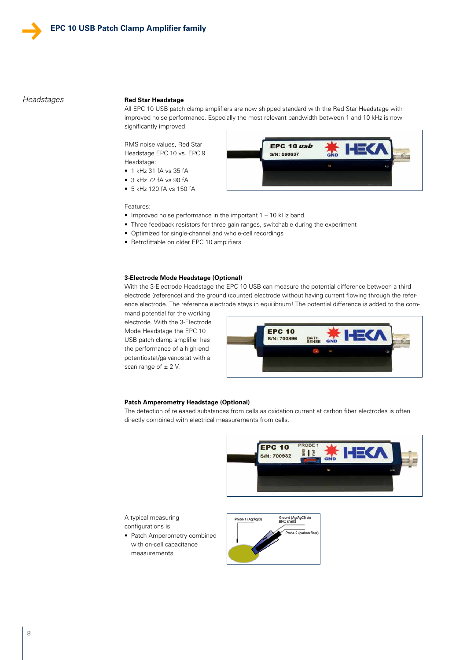

#### *Headstages* **Red Star Headstage**

All EPC 10 USB patch clamp amplifiers are now shipped standard with the Red Star Headstage with improved noise performance. Especially the most relevant bandwidth between 1 and 10 kHz is now significantly improved.

EPC 10 usb

S/N: 590637

GND

RMS noise values, Red Star Headstage EPC 10 vs. EPC 9 Headstage:

- $\bullet$  1 kHz 31 fA vs 35 fA
- $\bullet$  3 kHz 72 fA vs 90 fA
- • 5 kHz 120 fA vs 150 fA



- Improved noise performance in the important  $1 10$  kHz band
- Three feedback resistors for three gain ranges, switchable during the experiment
- Optimized for single-channel and whole-cell recordings
- • Retrofittable on older EPC 10 amplifiers

### **3-Electrode Mode Headstage (Optional)**

With the 3-Electrode Headstage the EPC 10 USB can measure the potential difference between a third electrode (reference) and the ground (counter) electrode without having current flowing through the reference electrode. The reference electrode stays in equilibrium! The potential difference is added to the com-

mand potential for the working electrode. With the 3-Electrode Mode Headstage the EPC 10 USB patch clamp amplifier has the performance of a high-end potentiostat/galvanostat with a scan range of  $\pm$  2 V.



#### **Patch Amperometry Headstage (Optional)**

The detection of released substances from cells as oxidation current at carbon fiber electrodes is often directly combined with electrical measurements from cells.



A typical measuring configurations is:

• Patch Amperometry combined with on-cell capacitance measurements

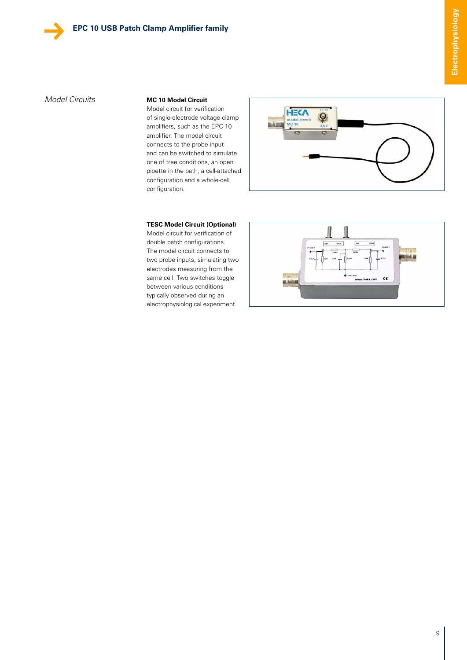# *Model Circuits* **MC 10 Model Circuit**

Model circuit for verification of single-electrode voltage clamp amplifiers, such as the EPC 10 amplifier. The model circuit connects to the probe input and can be switched to simulate one of tree conditions, an open pipette in the bath, a cell-attached configuration and a whole-cell configuration.



# **TESC Model Circuit (Optional)**

Model circuit for verification of double patch configurations. The model circuit connects to two probe inputs, simulating two electrodes measuring from the same cell. Two switches toggle between various conditions typically observed during an electrophysiological experiment.

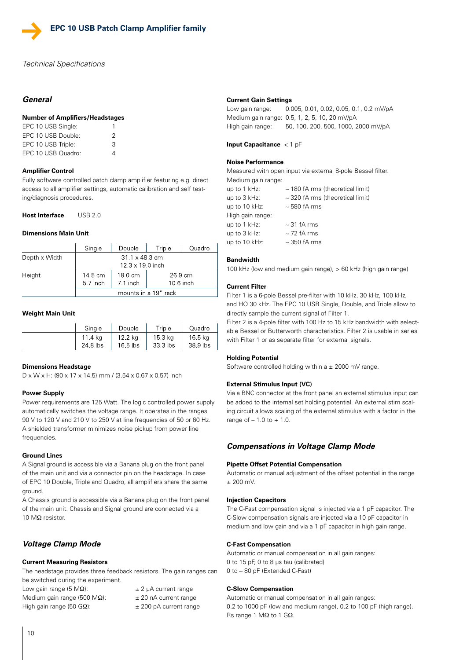*Technical Specifications*

#### **Number of Amplifiers/Headstages**

| EPC 10 USB Single: |   |
|--------------------|---|
| EPC 10 USB Double: | 2 |
| EPC 10 USB Triple: | 3 |
| EPC 10 USB Quadro: | 4 |

#### **Amplifier Control**

Fully software controlled patch clamp amplifier featuring e.g. direct access to all amplifier settings, automatic calibration and self testing/diagnosis procedures.

**Host Interface** USB 2.0

#### **Dimensions Main Unit**

|               | Single                  | Double                | Triple    | Quadro |  |
|---------------|-------------------------|-----------------------|-----------|--------|--|
| Depth x Width |                         | $31.1 \times 48.3$ cm |           |        |  |
|               | $12.3 \times 19.0$ inch |                       |           |        |  |
| Height        | 14.5 cm                 | 18.0 cm               | 26.9 cm   |        |  |
|               | 5.7 inch                | 7.1 inch              | 10.6 inch |        |  |
|               | mounts in a 19" rack    |                       |           |        |  |

### **Weight Main Unit**

| Single   | Double   | Triple   | Quadro   |
|----------|----------|----------|----------|
| 11 4 kg  | 12.2 kg  | 153 kg   | 16 5 kg  |
| 24.8 lbs | 16 5 lbs | 33 3 lbs | 38.9 lbs |

#### **Dimensions Headstage**

D x W x H: (90 x 17 x 14.5) mm / (3.54 x 0.67 x 0.57) inch

### **Power Supply**

Power requirements are 125 Watt. The logic controlled power supply automatically switches the voltage range. It operates in the ranges 90 V to 120 V and 210 V to 250 V at line frequencies of 50 or 60 Hz. A shielded transformer minimizes noise pickup from power line frequencies.

### **Ground Lines**

A Signal ground is accessible via a Banana plug on the front panel of the main unit and via a connector pin on the headstage. In case of EPC 10 Double, Triple and Quadro, all amplifiers share the same ground.

A Chassis ground is accessible via a Banana plug on the front panel of the main unit. Chassis and Signal ground are connected via a 10 MΩ resistor.

# *Voltage Clamp Mode*

### **Current Measuring Resistors**

The headstage provides three feedback resistors. The gain ranges can be switched during the experiment.

Low gain range (5 M $\Omega$ ):  $\qquad \qquad \pm 2$  µA current range Medium gain range (500 MΩ):  $± 20$  nA current range High gain range (50 G $\Omega$ ):  $\pm$  200 pA current range

*General* **Current Gain Settings**

Low gain range: 0.005, 0.01, 0.02, 0.05, 0.1, 0.2 mV/pA Medium gain range: 0.5, 1, 2, 5, 10, 20 mV/pA High gain range: 50, 100, 200, 500, 1000, 2000 mV/pA

**Input Capacitance** < 1 pF

#### **Noise Performance**

Measured with open input via external 8-pole Bessel filter. Medium gain range:

| up to 1 kHz:     | $\sim$ 180 fA rms (theoretical limit) |
|------------------|---------------------------------------|
| up to 3 kHz:     | $\sim$ 320 fA rms (theoretical limit) |
| up to 10 kHz:    | $\sim$ 580 fA rms                     |
| High gain range: |                                       |
| up to 1 kHz:     | $\sim$ 31 fA rms                      |
| up to 3 kHz:     | $\sim$ 72 fA rms                      |
| up to 10 kHz:    | $\sim$ 350 fA rms                     |
|                  |                                       |

#### **Bandwidth**

100 kHz (low and medium gain range), > 60 kHz (high gain range)

### **Current Filter**

Filter 1 is a 6-pole Bessel pre-filter with 10 kHz, 30 kHz, 100 kHz, and HQ 30 kHz. The EPC 10 USB Single, Double, and Triple allow to directly sample the current signal of Filter 1.

Filter 2 is a 4-pole filter with 100 Hz to 15 kHz bandwidth with selectable Bessel or Butterworth characteristics. Filter 2 is usable in series with Filter 1 or as separate filter for external signals.

#### **Holding Potential**

Software controlled holding within  $a \pm 2000$  mV range.

#### **External Stimulus Input (VC)**

Via a BNC connector at the front panel an external stimulus input can be added to the internal set holding potential. An external stim scaling circuit allows scaling of the external stimulus with a factor in the range of  $-1.0$  to  $+1.0$ .

# *Compensations in Voltage Clamp Mode*

#### **Pipette Offset Potential Compensation**

Automatic or manual adjustment of the offset potential in the range ± 200 mV.

### **Injection Capacitors**

The C-Fast compensation signal is injected via a 1 pF capacitor. The C-Slow compensation signals are injected via a 10 pF capacitor in medium and low gain and via a 1 pF capacitor in high gain range.

#### **C-Fast Compensation**

Automatic or manual compensation in all gain ranges: 0 to 15 pF, 0 to 8 µs tau (calibrated) 0 to  $\sim$  80 pF (Extended C-Fast)

#### **C-Slow Compensation**

Automatic or manual compensation in all gain ranges: 0.2 to 1000 pF (low and medium range), 0.2 to 100 pF (high range). Rs range 1 MΩ to 1 GΩ.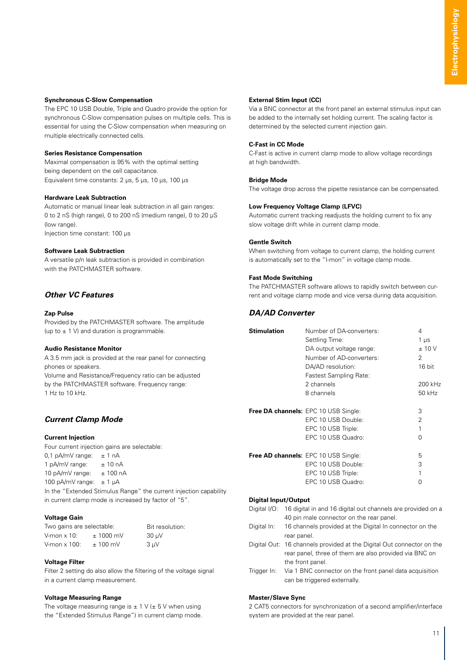#### **Synchronous C-Slow Compensation**

The EPC 10 USB Double, Triple and Quadro provide the option for synchronous C-Slow compensation pulses on multiple cells. This is essential for using the C-Slow compensation when measuring on multiple electrically connected cells.

#### **Series Resistance Compensation**

Maximal compensation is 95% with the optimal setting being dependent on the cell capacitance. Equivalent time constants: 2 µs, 5 µs, 10 µs, 100 µs

#### **Hardware Leak Subtraction**

Automatic or manual linear leak subtraction in all gain ranges: 0 to 2 nS (high range), 0 to 200 nS (medium range), 0 to 20 μS (low range). Injection time constant: 100 µs

#### **Software Leak Subtraction**

A versatile p/n leak subtraction is provided in combination with the PATCHMASTER software.

# *Other VC Features*

#### **Zap Pulse**

Provided by the PATCHMASTER software. The amplitude (up to  $\pm$  1 V) and duration is programmable.

#### **Audio Resistance Monitor**

A 3.5 mm jack is provided at the rear panel for connecting phones or speakers. Volume and Resistance/Frequency ratio can be adjusted by the PATCHMASTER software. Frequency range:

1 Hz to 10 kHz.

### *Current Clamp Mode*

#### **Current Injection**

Four current injection gains are selectable: 0,1 pA/mV range:  $\pm$  1 nA 1 pA/mV range:  $\pm$  10 nA 10 pA/mV range:  $\pm$  100 nA 100 pA/mV range:  $\pm$  1 µA In the "Extended Stimulus Range" the current injection capability in current clamp mode is increased by factor of "5".

### **Voltage Gain**

Two gains are selectable: V-mon  $\times$  10:  $\pm$  1000 mV V-mon  $\times$  100:  $\pm$  100 mV

Bit resolution: 30 µV  $3 \mu V$ 

#### **Voltage Filter**

Filter 2 setting do also allow the filtering of the voltage signal in a current clamp measurement.

#### **Voltage Measuring Range**

The voltage measuring range is  $\pm$  1 V ( $\pm$  5 V when using the "Extended Stimulus Range") in current clamp mode.

## **External Stim Input (CC)**

Via a BNC connector at the front panel an external stimulus input can be added to the internally set holding current. The scaling factor is determined by the selected current injection gain.

#### **C-Fast in CC Mode**

C-Fast is active in current clamp mode to allow voltage recordings at high bandwidth.

#### **Bridge Mode**

The voltage drop across the pipette resistance can be compensated.

#### **Low Frequency Voltage Clamp (LFVC)**

Automatic current tracking readjusts the holding current to fix any slow voltage drift while in current clamp mode.

#### **Gentle Switch**

When switching from voltage to current clamp, the holding current is automatically set to the "I-mon" in voltage clamp mode.

#### **Fast Mode Switching**

The PATCHMASTER software allows to rapidly switch between current and voltage clamp mode and vice versa during data acquisition.

# *DA/AD Converter*

| <b>Stimulation</b> | Number of DA-converters:                    | 4         |
|--------------------|---------------------------------------------|-----------|
|                    | Settling Time:                              | $1 \mu s$ |
|                    | DA output voltage range:                    | ±10V      |
|                    | Number of AD-converters:                    | 2         |
|                    | DA/AD resolution:                           | 16 bit    |
|                    | <b>Fastest Sampling Rate:</b>               |           |
|                    | 2 channels                                  | 200 kHz   |
|                    | 8 channels                                  | 50 kHz    |
|                    |                                             |           |
|                    | <b>Free DA channels: EPC 10 USB Single:</b> | 3         |
|                    | EPC 10 USB Double:                          | 2         |
|                    | EPC 10 USB Triple:                          | 1         |
|                    | EPC 10 USB Quadro:                          | 0         |
|                    |                                             |           |
|                    | <b>Free AD channels: EPC 10 USB Single:</b> | 5         |
|                    | EPC 10 USB Double:                          | 3         |
|                    | EPC 10 USB Triple:                          | 1         |
|                    | EPC 10 USB Quadro:                          | 0         |
|                    |                                             |           |

# **Digital Input/Output**

| Digital I/O: 16 digital in and 16 digital out channels are provided on a |
|--------------------------------------------------------------------------|
| 40 pin male connector on the rear panel.                                 |

- Digital In: 16 channels provided at the Digital In connector on the rear panel.
- Digital Out: 16 channels provided at the Digital Out connector on the rear panel, three of them are also provided via BNC on the front panel.
- Trigger In: Via 1 BNC connector on the front panel data acquisition can be triggered externally.

#### **Master/Slave Sync**

2 CAT5 connectors for synchronization of a second amplifier/interface system are provided at the rear panel.